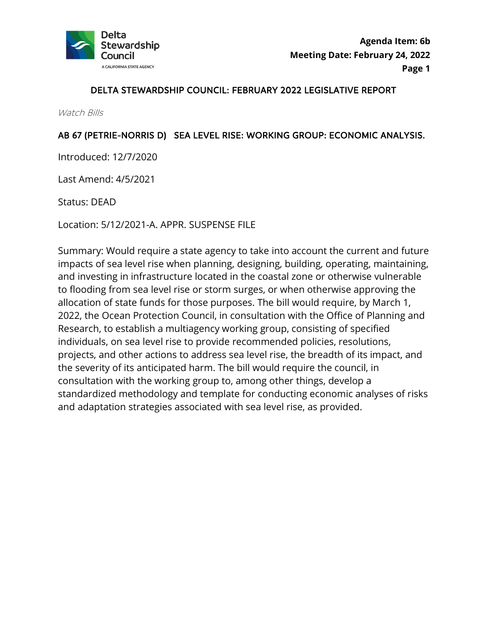

### DELTA STEWARDSHIP COUNCIL: FEBRUARY 2022 LEGISLATIVE REPORT

Watch Bills

### AB 67 (PETRIE-NORRIS D) SEA LEVEL RISE: WORKING GROUP: ECONOMIC ANALYSIS.

Introduced: 12/7/2020

Last Amend: 4/5/2021

Status: DEAD

Location: 5/12/2021-A. APPR. SUSPENSE FILE

 Summary: Would require a state agency to take into account the current and future allocation of state funds for those purposes. The bill would require, by March 1, Research, to establish a multiagency working group, consisting of specified impacts of sea level rise when planning, designing, building, operating, maintaining, and investing in infrastructure located in the coastal zone or otherwise vulnerable to flooding from sea level rise or storm surges, or when otherwise approving the 2022, the Ocean Protection Council, in consultation with the Office of Planning and individuals, on sea level rise to provide recommended policies, resolutions, projects, and other actions to address sea level rise, the breadth of its impact, and the severity of its anticipated harm. The bill would require the council, in consultation with the working group to, among other things, develop a standardized methodology and template for conducting economic analyses of risks and adaptation strategies associated with sea level rise, as provided.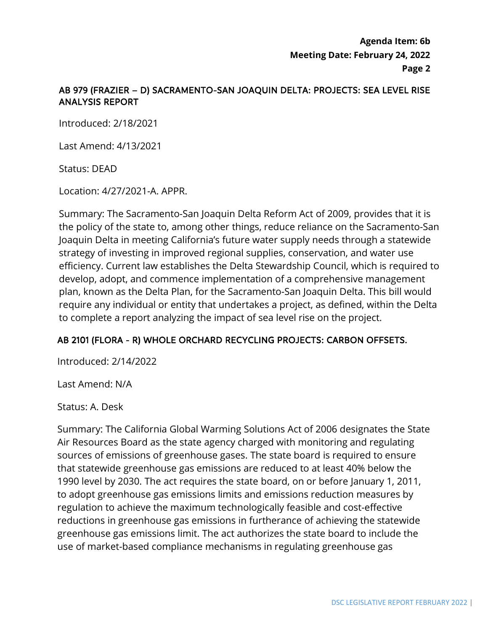**Agenda Item: 6b Meeting Date: February 24, 2022 Page 2** 

# AB 979 (FRAZIER – D) SACRAMENTO-SAN JOAQUIN DELTA: PROJECTS: SEA LEVEL RISE ANALYSIS REPORT

Introduced: 2/18/2021

Last Amend: 4/13/2021

Status: DEAD

Location: 4/27/2021-A. APPR.

 require any individual or entity that undertakes a project, as defined, within the Delta Summary: The Sacramento-San Joaquin Delta Reform Act of 2009, provides that it is the policy of the state to, among other things, reduce reliance on the Sacramento-San Joaquin Delta in meeting California's future water supply needs through a statewide strategy of investing in improved regional supplies, conservation, and water use efficiency. Current law establishes the Delta Stewardship Council, which is required to develop, adopt, and commence implementation of a comprehensive management plan, known as the Delta Plan, for the Sacramento-San Joaquin Delta. This bill would to complete a report analyzing the impact of sea level rise on the project.

## AB 2101 (FLORA - R) WHOLE ORCHARD RECYCLING PROJECTS: CARBON OFFSETS.

Introduced: 2/14/2022

Last Amend: N/A

Status: A. Desk

 Air Resources Board as the state agency charged with monitoring and regulating regulation to achieve the maximum technologically feasible and cost-effective Summary: The California Global Warming Solutions Act of 2006 designates the State sources of emissions of greenhouse gases. The state board is required to ensure that statewide greenhouse gas emissions are reduced to at least 40% below the 1990 level by 2030. The act requires the state board, on or before January 1, 2011, to adopt greenhouse gas emissions limits and emissions reduction measures by reductions in greenhouse gas emissions in furtherance of achieving the statewide greenhouse gas emissions limit. The act authorizes the state board to include the use of market-based compliance mechanisms in regulating greenhouse gas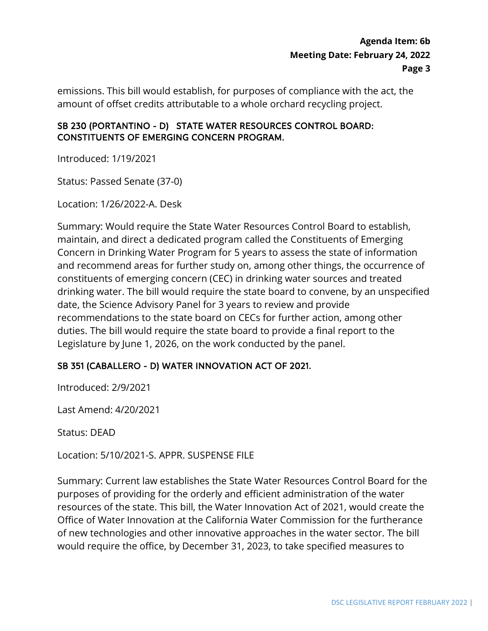# **Agenda Item: 6b Meeting Date: February 24, 2022 Page 3**

emissions. This bill would establish, for purposes of compliance with the act, the amount of offset credits attributable to a whole orchard recycling project.

## SB 230 (PORTANTINO - D) STATE WATER RESOURCES CONTROL BOARD: CONSTITUENTS OF EMERGING CONCERN PROGRAM.

Introduced: 1/19/2021

Status: Passed Senate (37-0)

Location: 1/26/2022-A. Desk

 Concern in Drinking Water Program for 5 years to assess the state of information date, the Science Advisory Panel for 3 years to review and provide recommendations to the state board on CECs for further action, among other duties. The bill would require the state board to provide a final report to the Summary: Would require the State Water Resources Control Board to establish, maintain, and direct a dedicated program called the Constituents of Emerging and recommend areas for further study on, among other things, the occurrence of constituents of emerging concern (CEC) in drinking water sources and treated drinking water. The bill would require the state board to convene, by an unspecified Legislature by June 1, 2026, on the work conducted by the panel.

## SB 351 (CABALLERO - D) WATER INNOVATION ACT OF 2021.

Introduced: 2/9/2021

Last Amend: 4/20/2021

Status: DEAD

Location: 5/10/2021-S. APPR. SUSPENSE FILE

 purposes of providing for the orderly and efficient administration of the water Summary: Current law establishes the State Water Resources Control Board for the resources of the state. This bill, the Water Innovation Act of 2021, would create the Office of Water Innovation at the California Water Commission for the furtherance of new technologies and other innovative approaches in the water sector. The bill would require the office, by December 31, 2023, to take specified measures to